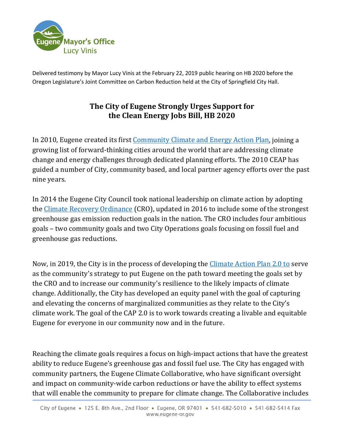

Delivered testimony by Mayor Lucy Vinis at the February 22, 2019 public hearing on HB 2020 before the Oregon Legislature's Joint Committee on Carbon Reduction held at the City of Springfield City Hall.

## **The City of Eugene Strongly Urges Support for the Clean Energy Jobs Bill, HB 2020**

In 2010, Eugene created its first [Community Climate and Energy Action Plan,](https://www.eugene-or.gov/Archive.aspx?AMID=48) joining a growing list of forward-thinking cities around the world that are addressing climate change and energy challenges through dedicated planning efforts. The 2010 CEAP has guided a number of City, community based, and local partner agency efforts over the past nine years.

In 2014 the Eugene City Council took national leadership on climate action by adopting the [Climate Recovery Ordinance](https://www.eugene-or.gov/DocumentCenter/View/31138) (CRO), updated in 2016 to include some of the strongest greenhouse gas emission reduction goals in the nation. The CRO includes four ambitious goals – two community goals and two City Operations goals focusing on fossil fuel and greenhouse gas reductions.

Now, in 2019, the City is in the process of developing the [Climate Action Plan 2.0](https://www.eugene-or.gov/3936/Climate-Action-Plan-20) to serve as the community's strategy to put Eugene on the path toward meeting the goals set by the CRO and to increase our community's resilience to the likely impacts of climate change. Additionally, the City has developed an equity panel with the goal of capturing and elevating the concerns of marginalized communities as they relate to the City's climate work. The goal of the CAP 2.0 is to work towards creating a livable and equitable Eugene for everyone in our community now and in the future.

Reaching the climate goals requires a focus on high-impact actions that have the greatest ability to reduce Eugene's greenhouse gas and fossil fuel use. The City has engaged with community partners, the Eugene Climate Collaborative, who have significant oversight and impact on community-wide carbon reductions or have the ability to effect systems that will enable the community to prepare for climate change. The Collaborative includes